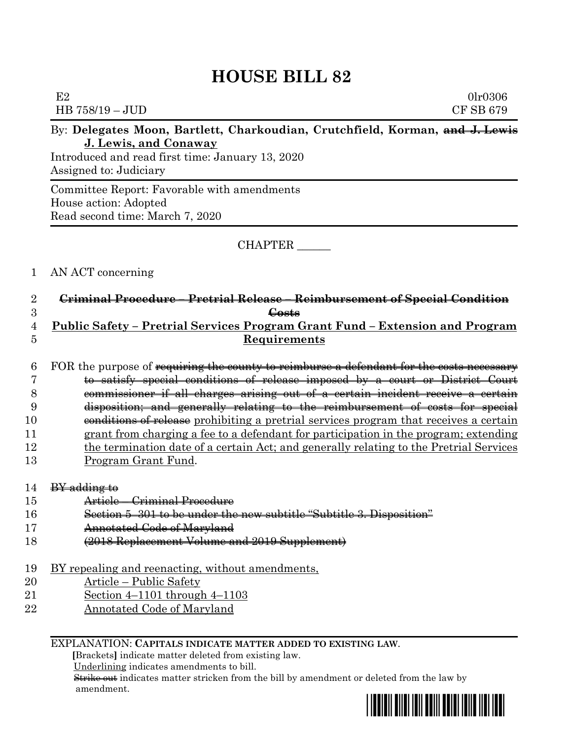## **HOUSE BILL 82**

|                     | E2<br>0lr0306<br>CF SB 679<br>HB 758/19 - JUD                                                                                                                                       |  |  |  |
|---------------------|-------------------------------------------------------------------------------------------------------------------------------------------------------------------------------------|--|--|--|
|                     | By: Delegates Moon, Bartlett, Charkoudian, Crutchfield, Korman, and J. Lewis<br>J. Lewis, and Conaway<br>Introduced and read first time: January 13, 2020<br>Assigned to: Judiciary |  |  |  |
|                     | Committee Report: Favorable with amendments<br>House action: Adopted<br>Read second time: March 7, 2020                                                                             |  |  |  |
|                     | CHAPTER                                                                                                                                                                             |  |  |  |
| 1                   | AN ACT concerning                                                                                                                                                                   |  |  |  |
| $\overline{2}$      | Criminal Procedure - Pretrial Release - Reimbursement of Special Condition                                                                                                          |  |  |  |
| 3                   | Costs                                                                                                                                                                               |  |  |  |
| 4<br>$\overline{5}$ | <u> Public Safety – Pretrial Services Program Grant Fund – Extension and Program</u><br>Requirements                                                                                |  |  |  |
| 6                   | FOR the purpose of requiring the county to reimburse a defendant for the costs necessary                                                                                            |  |  |  |
| 7<br>8              | to satisfy special conditions of release imposed by a court or District Court<br>commissioner if all charges arising out of a certain incident receive a certain                    |  |  |  |
| 9                   | disposition; and generally relating to the reimbursement of costs for special                                                                                                       |  |  |  |
| 10                  | conditions of release prohibiting a pretrial services program that receives a certain                                                                                               |  |  |  |
| 11                  | grant from charging a fee to a defendant for participation in the program; extending                                                                                                |  |  |  |
| 12                  | the termination date of a certain Act; and generally relating to the Pretrial Services                                                                                              |  |  |  |
| 13                  | <u>Program Grant Fund.</u>                                                                                                                                                          |  |  |  |
| 14                  | BY adding to                                                                                                                                                                        |  |  |  |
| 15                  | Article – Criminal Procedure                                                                                                                                                        |  |  |  |
| 16                  | Section 5-301 to be under the new subtitle "Subtitle 3. Disposition"                                                                                                                |  |  |  |
| 17                  | Annotated Code of Maryland                                                                                                                                                          |  |  |  |
| 18                  | (2018 Replacement Volume and 2019 Supplement)                                                                                                                                       |  |  |  |
| 19                  | BY repealing and reenacting, without amendments,                                                                                                                                    |  |  |  |
| 20                  | <u> Article – Public Safety</u>                                                                                                                                                     |  |  |  |
| 21                  | Section $4-1101$ through $4-1103$                                                                                                                                                   |  |  |  |
| <b>22</b>           | <b>Annotated Code of Maryland</b>                                                                                                                                                   |  |  |  |

## EXPLANATION: **CAPITALS INDICATE MATTER ADDED TO EXISTING LAW**.

 **[**Brackets**]** indicate matter deleted from existing law.

Underlining indicates amendments to bill.

 Strike out indicates matter stricken from the bill by amendment or deleted from the law by amendment.

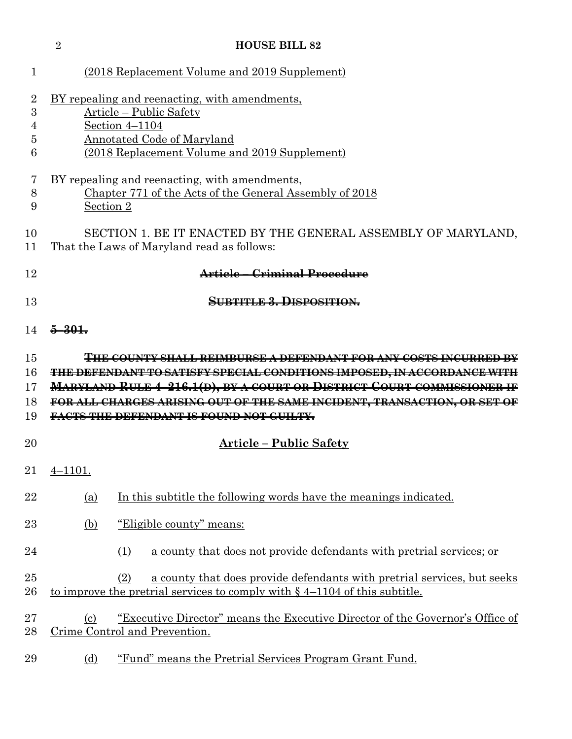|                                      | $\overline{2}$                                                                                                               | <b>HOUSE BILL 82</b>                                                                                                                                                              |  |  |  |  |
|--------------------------------------|------------------------------------------------------------------------------------------------------------------------------|-----------------------------------------------------------------------------------------------------------------------------------------------------------------------------------|--|--|--|--|
| 1                                    |                                                                                                                              | (2018 Replacement Volume and 2019 Supplement)                                                                                                                                     |  |  |  |  |
| 2<br>$\boldsymbol{3}$<br>4<br>5<br>6 |                                                                                                                              | BY repealing and reenacting, with amendments,<br>Article - Public Safety<br>Section 4-1104<br><b>Annotated Code of Maryland</b><br>(2018 Replacement Volume and 2019 Supplement)  |  |  |  |  |
| 7<br>8<br>9                          | <u>BY repealing and reenacting, with amendments,</u><br>Chapter 771 of the Acts of the General Assembly of 2018<br>Section 2 |                                                                                                                                                                                   |  |  |  |  |
| 10<br>11                             |                                                                                                                              | SECTION 1. BE IT ENACTED BY THE GENERAL ASSEMBLY OF MARYLAND,<br>That the Laws of Maryland read as follows:                                                                       |  |  |  |  |
| 12                                   | Article - Criminal Procedure                                                                                                 |                                                                                                                                                                                   |  |  |  |  |
| 13                                   |                                                                                                                              | <b>SUBTITLE 3. DISPOSITION.</b>                                                                                                                                                   |  |  |  |  |
| 14                                   | $5 - 301$                                                                                                                    |                                                                                                                                                                                   |  |  |  |  |
| 15                                   |                                                                                                                              | <del>THE COUNTY SHALL REIMBURSE A DEFENDANT FOR ANY COSTS INCURRED BY</del>                                                                                                       |  |  |  |  |
| 16                                   |                                                                                                                              | <b>THE DEFENDANT TO SATISFY SPECIAL CONDITIONS IMPOSED, IN ACCORDANCE WITH</b>                                                                                                    |  |  |  |  |
| 17                                   |                                                                                                                              | MARYLAND RULE 4-216.1(D), BY A COURT OR DISTRICT COURT COMMISSIONER IF                                                                                                            |  |  |  |  |
| 18                                   |                                                                                                                              | FOR ALL CHARGES ARISING OUT OF THE SAME INCIDENT, TRANSACTION, OR SET OF                                                                                                          |  |  |  |  |
| 19                                   |                                                                                                                              | FACTS THE DEFENDANT IS FOUND NOT GUILTY.                                                                                                                                          |  |  |  |  |
| 20                                   |                                                                                                                              | Article – Public Safety                                                                                                                                                           |  |  |  |  |
| 21                                   | $4 - 1101.$                                                                                                                  |                                                                                                                                                                                   |  |  |  |  |
| 22                                   | <u>(a)</u>                                                                                                                   | In this subtitle the following words have the meanings indicated.                                                                                                                 |  |  |  |  |
| 23                                   | <u>(b)</u>                                                                                                                   | <u>"Eligible county" means:</u>                                                                                                                                                   |  |  |  |  |
| 24                                   |                                                                                                                              | a county that does not provide defendants with pretrial services; or<br>(1)                                                                                                       |  |  |  |  |
| 25<br>$26\,$                         |                                                                                                                              | a county that does provide defendants with pretrial services, but seeks<br>(2)<br><u>to improve the pretrial services to comply with <math>\S</math> 4–1104 of this subtitle.</u> |  |  |  |  |
| $27\,$<br>28                         | $\left( \mathrm{c}\right)$                                                                                                   | "Executive Director" means the Executive Director of the Governor's Office of<br>Crime Control and Prevention.                                                                    |  |  |  |  |
| 29                                   | <u>(d)</u>                                                                                                                   | "Fund" means the Pretrial Services Program Grant Fund.                                                                                                                            |  |  |  |  |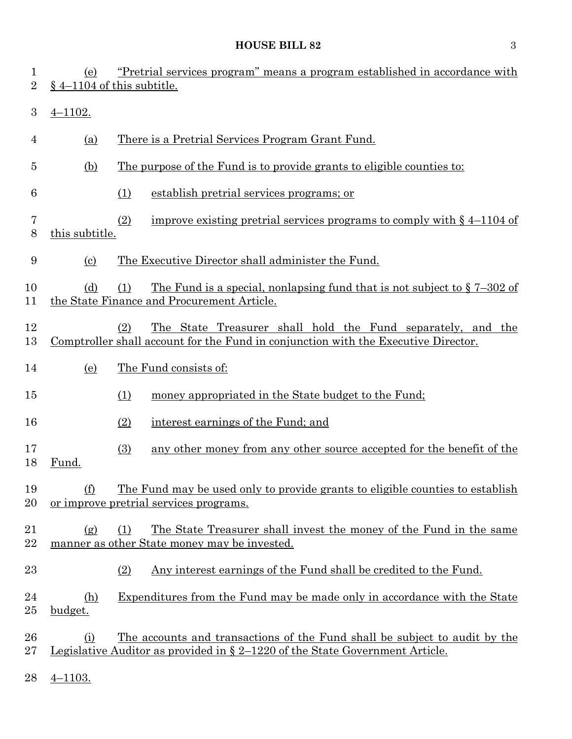## **HOUSE BILL 82** 3

| $\mathbf 1$<br>$\overline{2}$ | (e)                          | "Pretrial services program" means a program established in accordance with<br>§ 4-1104 of this subtitle.                                                                 |  |  |  |  |
|-------------------------------|------------------------------|--------------------------------------------------------------------------------------------------------------------------------------------------------------------------|--|--|--|--|
| 3                             | $4 - 1102.$                  |                                                                                                                                                                          |  |  |  |  |
| 4                             | <u>(a)</u>                   | There is a Pretrial Services Program Grant Fund.                                                                                                                         |  |  |  |  |
| 5                             | (b)                          | The purpose of the Fund is to provide grants to eligible counties to:                                                                                                    |  |  |  |  |
| 6                             |                              | establish pretrial services programs; or<br>(1)                                                                                                                          |  |  |  |  |
| 7<br>$8\,$                    | this subtitle.               | (2)<br>improve existing pretrial services programs to comply with $\S$ 4–1104 of                                                                                         |  |  |  |  |
| 9                             | $\left( \frac{c}{c} \right)$ | The Executive Director shall administer the Fund.                                                                                                                        |  |  |  |  |
| 10<br>11                      | (d)                          | The Fund is a special, nonlapsing fund that is not subject to $\S 7-302$ of<br>(1)<br>the State Finance and Procurement Article.                                         |  |  |  |  |
| 12<br>13                      |                              | The State Treasurer shall hold the Fund separately, and the<br>(2)<br>Comptroller shall account for the Fund in conjunction with the Executive Director.                 |  |  |  |  |
| 14                            | (e)                          | The Fund consists of:                                                                                                                                                    |  |  |  |  |
| 15                            |                              | money appropriated in the State budget to the Fund;<br>(1)                                                                                                               |  |  |  |  |
| 16                            |                              | (2)<br>interest earnings of the Fund; and                                                                                                                                |  |  |  |  |
| 17<br>18                      | Fund.                        | any other money from any other source accepted for the benefit of the<br>(3)                                                                                             |  |  |  |  |
| 19<br>20                      | (f)                          | The Fund may be used only to provide grants to eligible counties to establish<br>or improve pretrial services programs.                                                  |  |  |  |  |
| 21<br>22                      | (g)                          | The State Treasurer shall invest the money of the Fund in the same<br>(1)<br>manner as other State money may be invested.                                                |  |  |  |  |
| 23                            |                              | <u>Any interest earnings of the Fund shall be credited to the Fund.</u><br>(2)                                                                                           |  |  |  |  |
| 24<br>25                      | (h)<br>budget.               | <u>Expenditures from the Fund may be made only in accordance with the State</u>                                                                                          |  |  |  |  |
| 26<br>27                      | <u>(i)</u>                   | <u>The accounts and transactions of the Fund shall be subject to audit by the</u><br><u>Legislative Auditor as provided in § 2–1220 of the State Government Article.</u> |  |  |  |  |
| 28                            | $4 - 1103.$                  |                                                                                                                                                                          |  |  |  |  |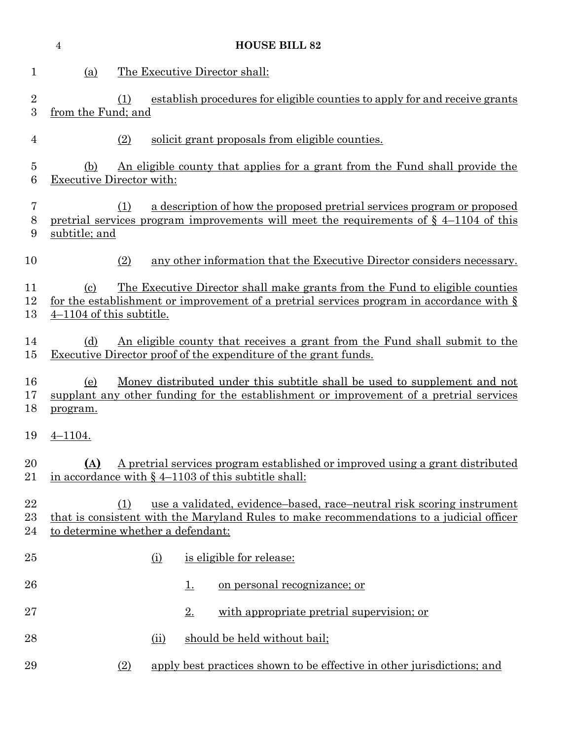|                     | <b>HOUSE BILL 82</b><br>$\overline{4}$                                                                                                                             |                                                                                                                                                                                                               |  |  |  |  |  |
|---------------------|--------------------------------------------------------------------------------------------------------------------------------------------------------------------|---------------------------------------------------------------------------------------------------------------------------------------------------------------------------------------------------------------|--|--|--|--|--|
| $\mathbf 1$         | (a)                                                                                                                                                                | The Executive Director shall:                                                                                                                                                                                 |  |  |  |  |  |
| $\sqrt{2}$<br>3     | establish procedures for eligible counties to apply for and receive grants<br>(1)<br>from the Fund; and                                                            |                                                                                                                                                                                                               |  |  |  |  |  |
| $\overline{4}$      |                                                                                                                                                                    | (2)<br>solicit grant proposals from eligible counties.                                                                                                                                                        |  |  |  |  |  |
| $\overline{5}$<br>6 | (b)                                                                                                                                                                | An eligible county that applies for a grant from the Fund shall provide the<br><b>Executive Director with:</b>                                                                                                |  |  |  |  |  |
| 7<br>$8\,$<br>9     | subtitle; and                                                                                                                                                      | a description of how the proposed pretrial services program or proposed<br>(1)<br>pretrial services program improvements will meet the requirements of $\S$ 4-1104 of this                                    |  |  |  |  |  |
| 10                  |                                                                                                                                                                    | (2)<br>any other information that the Executive Director considers necessary.                                                                                                                                 |  |  |  |  |  |
| 11<br>12<br>13      | $\left( \mathrm{c}\right)$<br>$4-1104$ of this subtitle.                                                                                                           | <u>The Executive Director shall make grants from the Fund to eligible counties</u><br>for the establishment or improvement of a pretrial services program in accordance with $\S$                             |  |  |  |  |  |
| 14<br>15            | <u>An eligible county that receives a grant from the Fund shall submit to the</u><br>(d)<br><b>Executive Director proof of the expenditure of the grant funds.</b> |                                                                                                                                                                                                               |  |  |  |  |  |
| 16<br>17<br>18      | (e)<br>program.                                                                                                                                                    | <u>Money distributed under this subtitle shall be used to supplement and not</u><br>supplant any other funding for the establishment or improvement of a pretrial services                                    |  |  |  |  |  |
| 19                  | $4 - 1104.$                                                                                                                                                        |                                                                                                                                                                                                               |  |  |  |  |  |
| 20<br>21            | A pretrial services program established or improved using a grant distributed<br>(A)<br>in accordance with $\S$ 4–1103 of this subtitle shall:                     |                                                                                                                                                                                                               |  |  |  |  |  |
| 22<br>23<br>24      |                                                                                                                                                                    | use a validated, evidence-based, race-neutral risk scoring instrument<br>(1)<br>that is consistent with the Maryland Rules to make recommendations to a judicial officer<br>to determine whether a defendant: |  |  |  |  |  |
| 25                  |                                                                                                                                                                    | is eligible for release:<br><u>(i)</u>                                                                                                                                                                        |  |  |  |  |  |
| 26                  |                                                                                                                                                                    | <u>on personal recognizance; or</u><br><u>1.</u>                                                                                                                                                              |  |  |  |  |  |
| 27                  |                                                                                                                                                                    | with appropriate pretrial supervision; or<br>$2_{\cdot}$                                                                                                                                                      |  |  |  |  |  |
| 28                  |                                                                                                                                                                    | should be held without bail;<br>(ii)                                                                                                                                                                          |  |  |  |  |  |
| 29                  |                                                                                                                                                                    | apply best practices shown to be effective in other jurisdictions; and<br>(2)                                                                                                                                 |  |  |  |  |  |